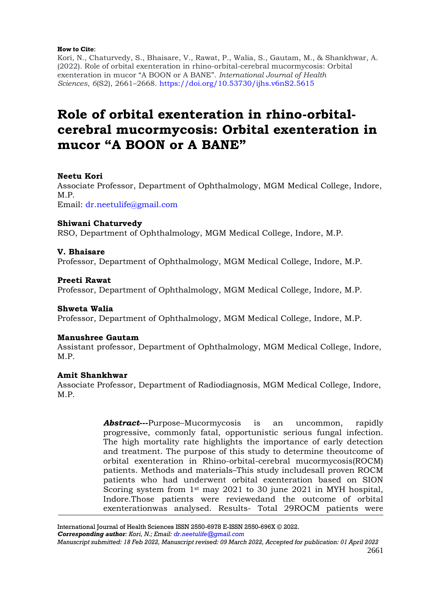#### **How to Cite**:

Kori, N., Chaturvedy, S., Bhaisare, V., Rawat, P., Walia, S., Gautam, M., & Shankhwar, A. (2022). Role of orbital exenteration in rhino-orbital-cerebral mucormycosis: Orbital exenteration in mucor "A BOON or A BANE". *International Journal of Health Sciences*, *6*(S2), 2661–2668.<https://doi.org/10.53730/ijhs.v6nS2.5615>

# **Role of orbital exenteration in rhino-orbitalcerebral mucormycosis: Orbital exenteration in mucor "A BOON or A BANE"**

# **Neetu Kori**

Associate Professor, Department of Ophthalmology, MGM Medical College, Indore, M.P. Email: [dr.neetulife@gmail.com](mailto:dr.neetulife@gmail.com)

# **Shiwani Chaturvedy**

RSO, Department of Ophthalmology, MGM Medical College, Indore, M.P.

# **V. Bhaisare**

Professor, Department of Ophthalmology, MGM Medical College, Indore, M.P.

### **Preeti Rawat**

Professor, Department of Ophthalmology, MGM Medical College, Indore, M.P.

### **Shweta Walia**

Professor, Department of Ophthalmology, MGM Medical College, Indore, M.P.

### **Manushree Gautam**

Assistant professor, Department of Ophthalmology, MGM Medical College, Indore, M.P.

### **Amit Shankhwar**

Associate Professor, Department of Radiodiagnosis, MGM Medical College, Indore, M.P.

> *Abstract***---**Purpose–Mucormycosis is an uncommon, rapidly progressive, commonly fatal, opportunistic serious fungal infection. The high mortality rate highlights the importance of early detection and treatment. The purpose of this study to determine theoutcome of orbital exenteration in Rhino-orbital-cerebral mucormycosis(ROCM) patients. Methods and materials–This study includesall proven ROCM patients who had underwent orbital exenteration based on SION Scoring system from 1st may 2021 to 30 june 2021 in MYH hospital, Indore.Those patients were reviewedand the outcome of orbital exenterationwas analysed. Results- Total 29ROCM patients were

International Journal of Health Sciences ISSN 2550-6978 E-ISSN 2550-696X © 2022.

*Corresponding author: Kori, N.; Email: [dr.neetulife@gmail.com](mailto:dr.neetulife@gmail.com)*

*Manuscript submitted: 18 Feb 2022, Manuscript revised: 09 March 2022, Accepted for publication: 01 April 2022*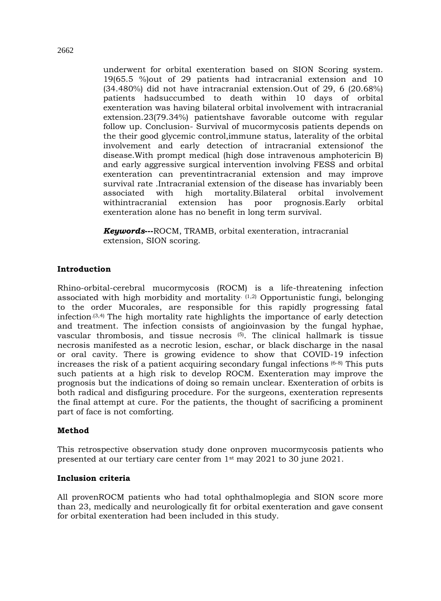underwent for orbital exenteration based on SION Scoring system. 19(65.5 %)out of 29 patients had intracranial extension and 10 (34.480%) did not have intracranial extension.Out of 29, 6 (20.68%) patients hadsuccumbed to death within 10 days of orbital exenteration was having bilateral orbital involvement with intracranial extension.23(79.34%) patientshave favorable outcome with regular follow up. Conclusion- Survival of mucormycosis patients depends on the their good glycemic control,immune status, laterality of the orbital involvement and early detection of intracranial extensionof the disease.With prompt medical (high dose intravenous amphotericin B) and early aggressive surgical intervention involving FESS and orbital exenteration can preventintracranial extension and may improve survival rate .Intracranial extension of the disease has invariably been associated with high mortality.Bilateral orbital involvement withintracranial extension has poor prognosis.Early orbital exenteration alone has no benefit in long term survival.

*Keywords***---**ROCM, TRAMB, orbital exenteration, intracranial extension, SION scoring.

# **Introduction**

Rhino-orbital-cerebral mucormycosis (ROCM) is a life-threatening infection associated with high morbidity and mortality. (1,2) Opportunistic fungi, belonging to the order Mucorales, are responsible for this rapidly progressing fatal infection.(3,4) The high mortality rate highlights the importance of early detection and treatment. The infection consists of angioinvasion by the fungal hyphae, vascular thrombosis, and tissue necrosis  $(5)$ . The clinical hallmark is tissue necrosis manifested as a necrotic lesion, eschar, or black discharge in the nasal or oral cavity. There is growing evidence to show that COVID-19 infection increases the risk of a patient acquiring secondary fungal infections  $(6-8)$  This puts such patients at a high risk to develop ROCM. Exenteration may improve the prognosis but the indications of doing so remain unclear. Exenteration of orbits is both radical and disfiguring procedure. For the surgeons, exenteration represents the final attempt at cure. For the patients, the thought of sacrificing a prominent part of face is not comforting.

### **Method**

This retrospective observation study done onproven mucormycosis patients who presented at our tertiary care center from 1st may 2021 to 30 june 2021.

### **Inclusion criteria**

All provenROCM patients who had total ophthalmoplegia and SION score more than 23, medically and neurologically fit for orbital exenteration and gave consent for orbital exenteration had been included in this study.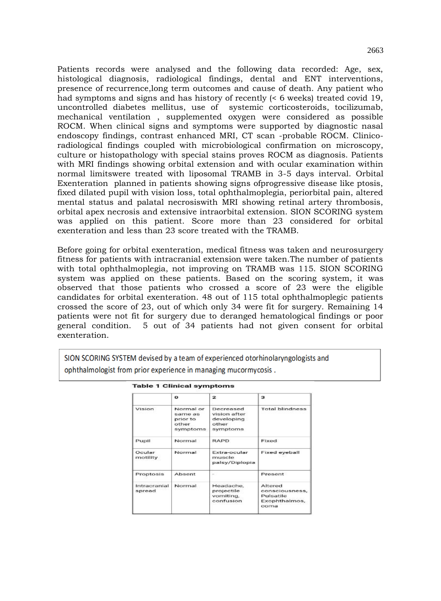Patients records were analysed and the following data recorded: Age, sex, histological diagnosis, radiological findings, dental and ENT interventions, presence of recurrence,long term outcomes and cause of death. Any patient who had symptoms and signs and has history of recently (< 6 weeks) treated covid 19, uncontrolled diabetes mellitus, use of systemic corticosteroids, tocilizumab, mechanical ventilation , supplemented oxygen were considered as possible ROCM. When clinical signs and symptoms were supported by diagnostic nasal endoscopy findings, contrast enhanced MRI, CT scan -probable ROCM. Clinicoradiological findings coupled with microbiological confirmation on microscopy, culture or histopathology with special stains proves ROCM as diagnosis. Patients with MRI findings showing orbital extension and with ocular examination within normal limitswere treated with liposomal TRAMB in 3-5 days interval. Orbital Exenteration planned in patients showing signs ofprogressive disease like ptosis, fixed dilated pupil with vision loss, total ophthalmoplegia, periorbital pain, altered mental status and palatal necrosiswith MRI showing retinal artery thrombosis, orbital apex necrosis and extensive intraorbital extension. SION SCORING system was applied on this patient. Score more than 23 considered for orbital exenteration and less than 23 score treated with the TRAMB.

Before going for orbital exenteration, medical fitness was taken and neurosurgery fitness for patients with intracranial extension were taken.The number of patients with total ophthalmoplegia, not improving on TRAMB was 115. SION SCORING system was applied on these patients. Based on the scoring system, it was observed that those patients who crossed a score of 23 were the eligible candidates for orbital exenteration. 48 out of 115 total ophthalmoplegic patients crossed the score of 23, out of which only 34 were fit for surgery. Remaining 14 patients were not fit for surgery due to deranged hematological findings or poor general condition. 5 out of 34 patients had not given consent for orbital exenteration.

SION SCORING SYSTEM devised by a team of experienced otorhinolaryngologists and ophthalmologist from prior experience in managing mucormycosis.

|                        | $\Omega$                                              | 2                                                            | з                                                               |
|------------------------|-------------------------------------------------------|--------------------------------------------------------------|-----------------------------------------------------------------|
| Vision                 | Normal or<br>same as<br>prior to<br>other<br>symptoms | Decreased<br>vision after<br>developing<br>other<br>symptoms | Total blindness                                                 |
| Pupil                  | Normal                                                | <b>RAPD</b>                                                  | Fixed                                                           |
| Ocular<br>motility     | Normal                                                | Extra-ocular<br>muscle<br>palsy/Diplopia                     | <b>Fixed eyeball</b>                                            |
| Proptosis              | Absent                                                | $\sim$                                                       | Present                                                         |
| Intracranial<br>spread | Normal                                                | Headache,<br>projectile<br>vomiting.<br>confusion            | Altered<br>consciousness.<br>Pulsatile<br>Exophthalmos,<br>coma |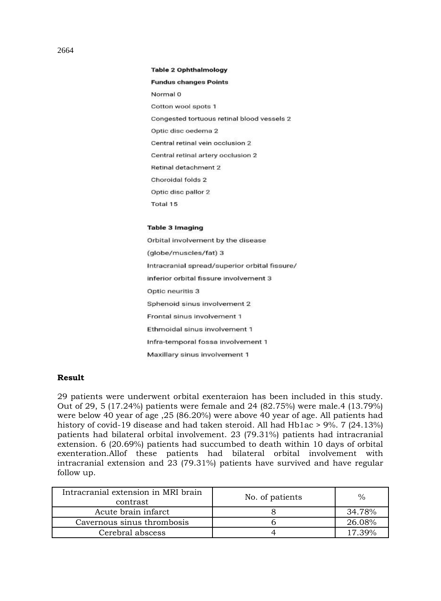#### **Table 2 Ophthalmology**

# **Fundus changes Points**

Normal 0 Cotton wool spots 1 Congested tortuous retinal blood vessels 2 Optic disc oedema 2 Central retinal vein occlusion 2 Central retinal artery occlusion 2 Retinal detachment 2 Choroidal folds 2 Optic disc pallor 2 Total 15

#### **Table 3 Imaging**

Orbital involvement by the disease (globe/muscles/fat) 3 Intracranial spread/superior orbital fissure/ inferior orbital fissure involvement 3 Optic neuritis 3 Sphenoid sinus involvement 2 Frontal sinus involvement 1 Ethmoidal sinus involvement 1 Infra-temporal fossa involvement 1 Maxillary sinus involvement 1

# **Result**

29 patients were underwent orbital exenteraion has been included in this study. Out of 29, 5 (17.24%) patients were female and 24 (82.75%) were male.4 (13.79%) were below 40 year of age ,25 (86.20%) were above 40 year of age. All patients had history of covid-19 disease and had taken steroid. All had Hb1ac > 9%. 7 (24.13%) patients had bilateral orbital involvement. 23 (79.31%) patients had intracranial extension. 6 (20.69%) patients had succumbed to death within 10 days of orbital exenteration.Allof these patients had bilateral orbital involvement with intracranial extension and 23 (79.31%) patients have survived and have regular follow up.

| Intracranial extension in MRI brain<br>contrast | No. of patients | $\frac{0}{0}$ |
|-------------------------------------------------|-----------------|---------------|
| Acute brain infarct                             |                 | 34.78%        |
| Cavernous sinus thrombosis                      |                 | 26.08%        |
| Cerebral abscess                                |                 | 17.39%        |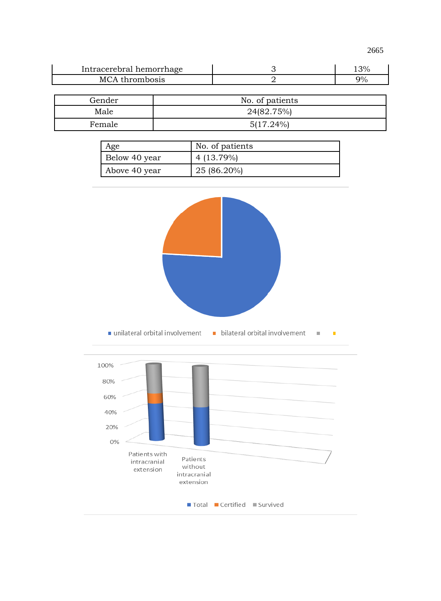2665

| Intracerebral hemorrhage | 3% |
|--------------------------|----|
| MCA thrombosis           | 9% |

| Gender | No. of patients |
|--------|-----------------|
| Male   | 24(82.75%)      |
| Female | $5(17.24\%)$    |

| Age           | No. of patients |
|---------------|-----------------|
| Below 40 year | 4 (13.79%)      |
| Above 40 year | 25 (86.20%)     |

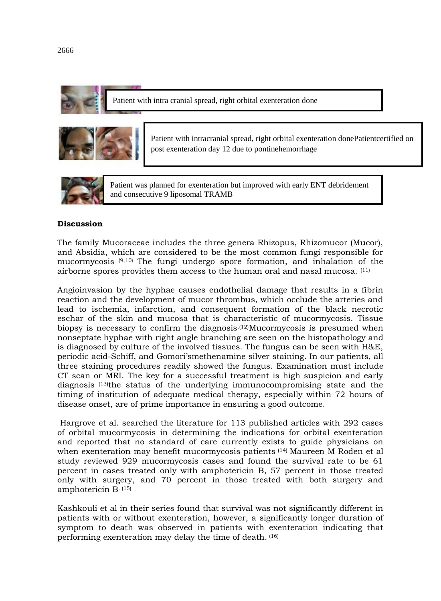

Patient with intra cranial spread, right orbital exenteration done



Patient with intracranial spread, right orbital exenteration donePatientcertified on post exenteration day 12 due to pontinehemorrhage



Patient was planned for exenteration but improved with early ENT debridement and consecutive 9 liposomal TRAMB

# **Discussion**

The family Mucoraceae includes the three genera Rhizopus, Rhizomucor (Mucor), and Absidia, which are considered to be the most common fungi responsible for mucormycosis (9,10) The fungi undergo spore formation, and inhalation of the airborne spores provides them access to the human oral and nasal mucosa. (11)

Angioinvasion by the hyphae causes endothelial damage that results in a fibrin reaction and the development of mucor thrombus, which occlude the arteries and lead to ischemia, infarction, and consequent formation of the black necrotic eschar of the skin and mucosa that is characteristic of mucormycosis. Tissue biopsy is necessary to confirm the diagnosis.(12)Mucormycosis is presumed when nonseptate hyphae with right angle branching are seen on the histopathology and is diagnosed by culture of the involved tissues. The fungus can be seen with H&E, periodic acid-Schiff, and Gomori'smethenamine silver staining. In our patients, all three staining procedures readily showed the fungus. Examination must include CT scan or MRI. The key for a successful treatment is high suspicion and early diagnosis (13)the status of the underlying immunocompromising state and the timing of institution of adequate medical therapy, especially within 72 hours of disease onset, are of prime importance in ensuring a good outcome.

Hargrove et al. searched the literature for 113 published articles with 292 cases of orbital mucormycosis in determining the indications for orbital exenteration and reported that no standard of care currently exists to guide physicians on when exenteration may benefit mucormycosis patients <sup>(14)</sup> Maureen M Roden et al study reviewed 929 mucormycosis cases and found the survival rate to be 61 percent in cases treated only with amphotericin B, 57 percent in those treated only with surgery, and 70 percent in those treated with both surgery and amphotericin B. (15)

Kashkouli et al in their series found that survival was not significantly different in patients with or without exenteration, however, a significantly longer duration of symptom to death was observed in patients with exenteration indicating that performing exenteration may delay the time of death. (16)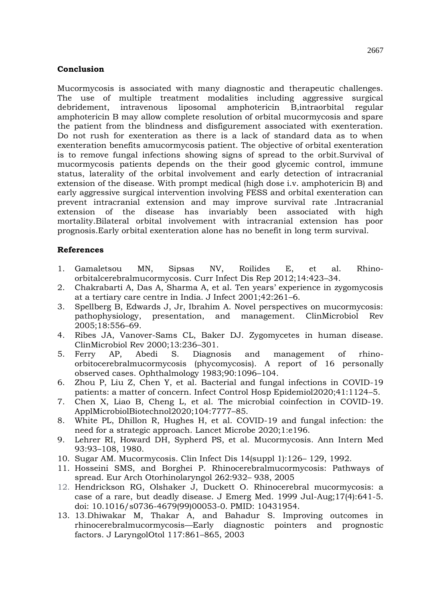# **Conclusion**

Mucormycosis is associated with many diagnostic and therapeutic challenges. The use of multiple treatment modalities including aggressive surgical debridement, intravenous liposomal amphotericin B,intraorbital regular amphotericin B may allow complete resolution of orbital mucormycosis and spare the patient from the blindness and disfigurement associated with exenteration. Do not rush for exenteration as there is a lack of standard data as to when exenteration benefits amucormycosis patient. The objective of orbital exenteration is to remove fungal infections showing signs of spread to the orbit.Survival of mucormycosis patients depends on the their good glycemic control, immune status, laterality of the orbital involvement and early detection of intracranial extension of the disease. With prompt medical (high dose i.v. amphotericin B) and early aggressive surgical intervention involving FESS and orbital exenteration can prevent intracranial extension and may improve survival rate .Intracranial extension of the disease has invariably been associated with high mortality.Bilateral orbital involvement with intracranial extension has poor prognosis.Early orbital exenteration alone has no benefit in long term survival.

# **References**

- 1. Gamaletsou MN, Sipsas NV, Roilides E, et al. Rhinoorbitalcerebralmucormycosis. Curr Infect Dis Rep 2012;14:423–34.
- 2. Chakrabarti A, Das A, Sharma A, et al. Ten years' experience in zygomycosis at a tertiary care centre in India. J Infect 2001;42:261–6.
- 3. Spellberg B, Edwards J, Jr, Ibrahim A. Novel perspectives on mucormycosis: pathophysiology, presentation, and management. ClinMicrobiol Rev 2005;18:556–69.
- 4. Ribes JA, Vanover-Sams CL, Baker DJ. Zygomycetes in human disease. ClinMicrobiol Rev 2000;13:236–301.
- 5. Ferry AP, Abedi S. Diagnosis and management of rhinoorbitocerebralmucormycosis (phycomycosis). A report of 16 personally observed cases. Ophthalmology 1983;90:1096–104.
- 6. Zhou P, Liu Z, Chen Y, et al. Bacterial and fungal infections in COVID-19 patients: a matter of concern. Infect Control Hosp Epidemiol2020;41:1124–5.
- 7. Chen X, Liao B, Cheng L, et al. The microbial coinfection in COVID-19. ApplMicrobiolBiotechnol2020;104:7777–85.
- 8. White PL, Dhillon R, Hughes H, et al. COVID-19 and fungal infection: the need for a strategic approach. Lancet Microbe 2020;1:e196.
- 9. Lehrer RI, Howard DH, Sypherd PS, et al. Mucormycosis. Ann Intern Med 93:93–108, 1980.
- 10. Sugar AM. Mucormycosis. Clin Infect Dis 14(suppl 1):126– 129, 1992.
- 11. Hosseini SMS, and Borghei P. Rhinocerebralmucormycosis: Pathways of spread. Eur Arch Otorhinolaryngol 262:932– 938, 2005
- 12. Hendrickson RG, Olshaker J, Duckett O. Rhinocerebral mucormycosis: a case of a rare, but deadly disease. J Emerg Med. 1999 Jul-Aug;17(4):641-5. doi: 10.1016/s0736-4679(99)00053-0. PMID: 10431954.
- 13. 13.Dhiwakar M, Thakar A, and Bahadur S. Improving outcomes in rhinocerebralmucormycosis—Early diagnostic pointers and prognostic factors. J LaryngolOtol 117:861–865, 2003